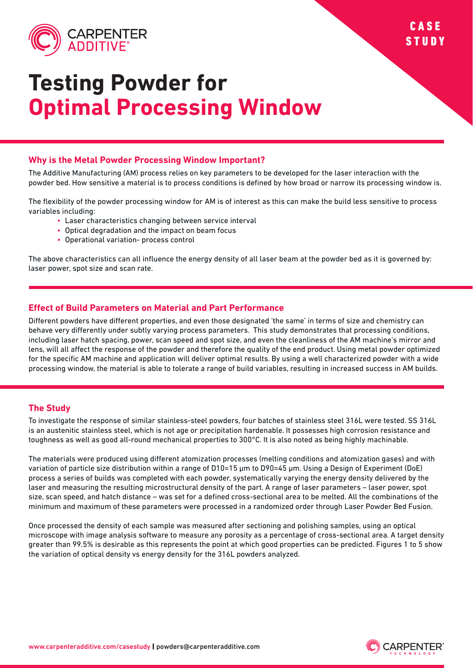

# **Testing Powder for Optimal Processing Window**

### **Why is the Metal Powder Processing Window Important?**

The Additive Manufacturing (AM) process relies on key parameters to be developed for the laser interaction with the powder bed. How sensitive a material is to process conditions is defined by how broad or narrow its processing window is.

The flexibility of the powder processing window for AM is of interest as this can make the build less sensitive to process variables including:

- Laser characteristics changing between service interval
- Optical degradation and the impact on beam focus
- Operational variation- process control

The above characteristics can all influence the energy density of all laser beam at the powder bed as it is governed by: laser power, spot size and scan rate.

## **Effect of Build Parameters on Material and Part Performance**

Different powders have different properties, and even those designated 'the same' in terms of size and chemistry can behave very differently under subtly varying process parameters. This study demonstrates that processing conditions, including laser hatch spacing, power, scan speed and spot size, and even the cleanliness of the AM machine's mirror and lens, will all affect the response of the powder and therefore the quality of the end product. Using metal powder optimized for the specific AM machine and application will deliver optimal results. By using a well characterized powder with a wide processing window, the material is able to tolerate a range of build variables, resulting in increased success in AM builds.

#### **The Study**

To investigate the response of similar stainless-steel powders, four batches of stainless steel 316L were tested. SS 316L is an austenitic stainless steel, which is not age or precipitation hardenable. It possesses high corrosion resistance and toughness as well as good all-round mechanical properties to 300°C. It is also noted as being highly machinable.

The materials were produced using different atomization processes (melting conditions and atomization gases) and with variation of particle size distribution within a range of D10=15 �m to D90=45 �m. Using a Design of Experiment (DoE) process a series of builds was completed with each powder, systematically varying the energy density delivered by the laser and measuring the resulting microstructural density of the part. A range of laser parameters – laser power, spot size, scan speed, and hatch distance – was set for a defined cross-sectional area to be melted. All the combinations of the minimum and maximum of these parameters were processed in a randomized order through Laser Powder Bed Fusion.

Once processed the density of each sample was measured after sectioning and polishing samples, using an optical microscope with image analysis software to measure any porosity as a percentage of cross-sectional area. A target density greater than 99.5% is desirable as this represents the point at which good properties can be predicted. Figures 1 to 5 show the variation of optical density vs energy density for the 316L powders analyzed.



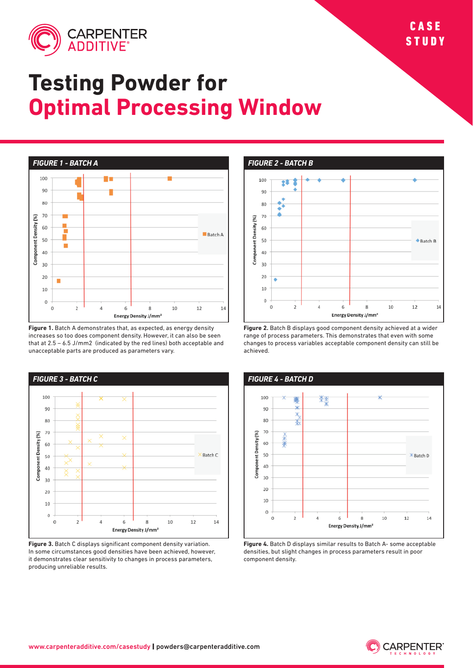

## **Testing Powder for Optimal Processing Window**



**Figure 1.** Batch A demonstrates that, as expected, as energy density increases so too does component density. However, it can also be seen that at 2.5 – 6.5 J/mm2 (indicated by the red lines) both acceptable and unacceptable parts are produced as parameters vary.



**Figure 3.** Batch C displays significant component density variation. In some circumstances good densities have been achieved, however, it demonstrates clear sensitivity to changes in process parameters, producing unreliable results.

*FIGURE 2 - BATCH B*



**Figure 2.** Batch B displays good component density achieved at a wider range of process parameters. This demonstrates that even with some changes to process variables acceptable component density can still be achieved.



**Figure 4.** Batch D displays similar results to Batch A- some acceptable densities, but slight changes in process parameters result in poor component density.